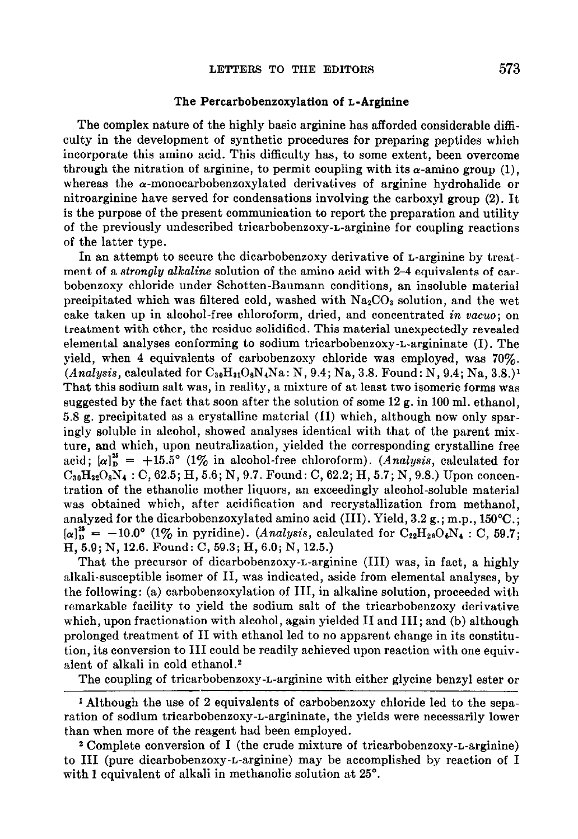## The Percarbobenzoxylation of L-Arginine

The complex nature of the highly basic arginine has afforded considerable difficulty in the development of synthetic procedures for preparing peptides which incorporate this amino acid. This difficulty has, to some extent, been overcome through the nitration of arginine, to permit coupling with its  $\alpha$ -amino group (1), whereas the  $\alpha$ -monocarbobenzoxylated derivatives of arginine hydrohalide or nitroarginine have served for condensations involving the carboxyl group (2). It is the purpose of the present communication to report the preparation and utility of the previously undescribed tricarbobeneoxy-L-arginine for coupling reactions of the latter type.

In an attempt to secure the dicarbobenzoxy derivative of L-arginine by treatment of a *strongly alkaline* solution of the amino acid with 2-4 equivalents of carbobenzoxy chloride under Schotten-Baumann conditions, an insoluble material precipitated which was filtered cold, washed with  $Na_2CO_3$  solution, and the wet cake taken up in alcohol-free chloroform, dried, and concentrated in  $vacuo$ ; on treatment with ether, the residue solidified. This material unexpectedly revealed elemental analyses conforming to sodium tricarbobenzoxy-L-argininate (I). The yield, when 4 equivalents of carbobenzoxy chloride was employed, was 70%.  $(Analysis, calculated for C<sub>30</sub>H<sub>31</sub>O<sub>8</sub>N<sub>4</sub>Na: N, 9.4; Na, 3.8. Found: N, 9.4; Na, 3.8.)<sup>1</sup>$ That this sodium salt was, in reality, a mixture of at least two isomeric forms was suggested by the fact that soon after the solution of some 12 g. in 100 ml. ethanol, 5.8 g. precipitated as a crystalline material (II) which, although now only sparingly soluble in alcohol, showed analyses identical with that of the parent mixture, and which, upon neutralization, yielded the corresponding crystalline free acid;  $[\alpha]_p^{2s} = +15.5^{\circ}$  (1% in alcohol-free chloroform). (Analysis, calculated for  $C_{30}H_{32}O_8N_4 : C, 62.5; H, 5.6; N, 9.7.$  Found: C, 62.2; H, 5.7; N, 9.8.) Upon concentration of the ethanolic mother liquors, an exceedingly alcohol-soluble material was obtained which, after acidification and recrystallization from methanol, analyzed for the dicarbobenzoxylated amino acid (III). Yield, 3.2 g.; m.p., 150°C.;  $[\alpha]_{\text{D}}^{28} = -10.0^{\circ}$  (1% in pyridine). (Analysis, calculated for  $\text{C}_{22}\text{H}_{26}\text{O}_6\text{N}_4$ : C, 59.7; H, 5.9; N, 12.6. Found: C, 59.3; H, 6.0; N, 12.5.)

That the precursor of dicarbobenzoxy-L-arginine (III) was, in fact, a highly alkali-susceptible isomer of II, was indicated, aside from elemental analyses, by the following: (a) carbobenzoxylation of III, in alkaline solution, proceeded with remarkable facility to yield the sodium salt of the tricarbobenzoxy derivative which, upon fractionation with alcohol, again yielded II and III; and (b) although prolonged treatment of II with ethanol led to no apparent change in its constitution, its conversion to III could be readily achieved upon reaction with one equivalent of alkali in cold ethanoL2

The coupling of tricarbobenzoxy-L-arginine with either glycine benzyl ester or

1 Although the use of 2 equivalents of carbobenzoxy chloride led to the separation of sodium tricarbobenzoxy-L-argininate, the yields were necessarily lower than when more of the reagent had been employed.

2 Complete conversion of I (the crude mixture of tricarbobenzoxy-L-arginine) to III (pure dicarbobenzoxy-L-arginine) may be accomplished by reaction of I with 1 equivalent of alkali in methanolic solution at 25°.